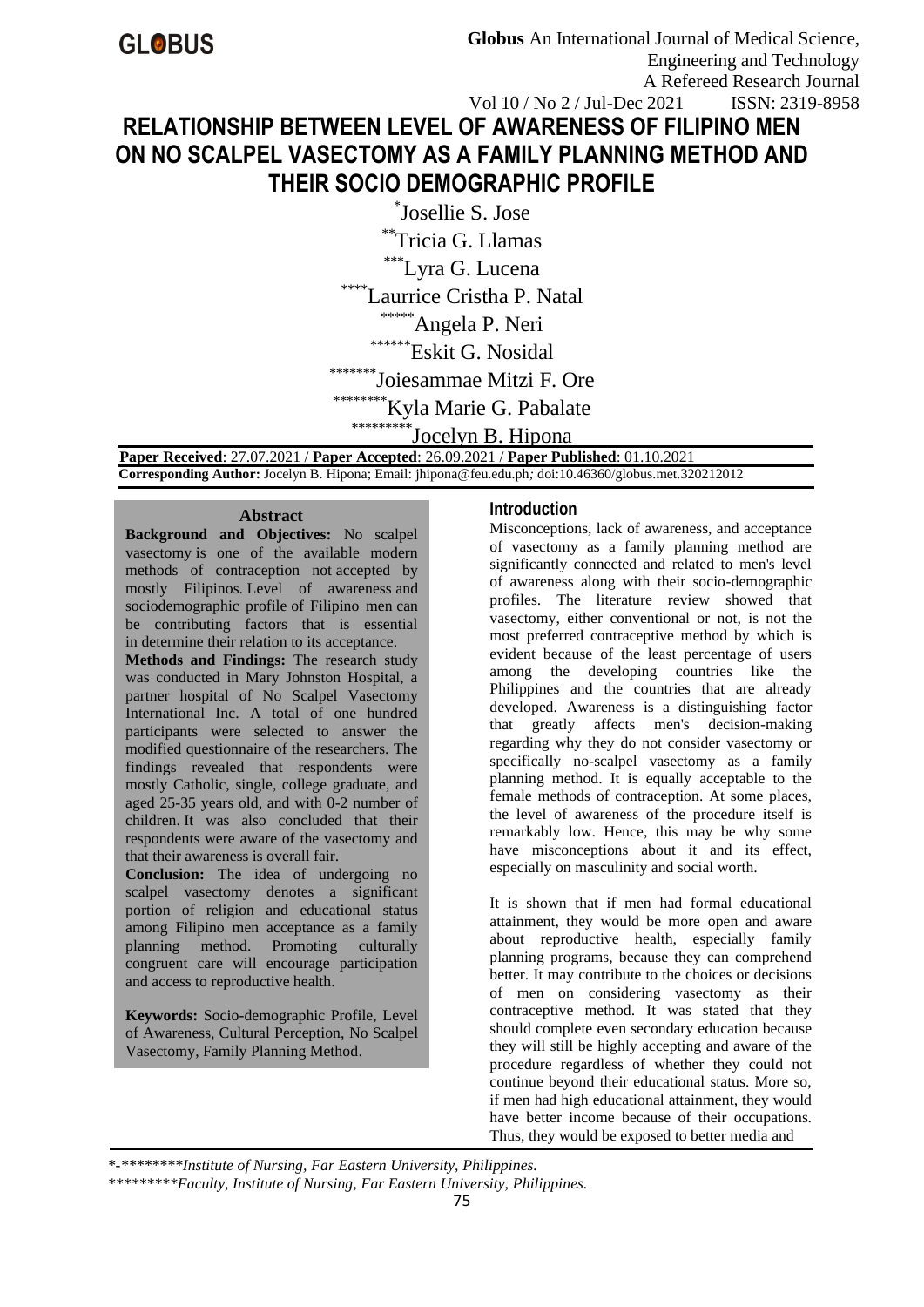# Vol 10 / No 2 / Jul-Dec 2021 RELATIONSHIP BETWEEN LEVEL OF AWARENESS OF FILIPINO MEN ON NO SCALPEL VASECTOMY AS A FAMILY PLANNING METHOD AND THEIR SOCIO DEMOGRAPHIC PROFILE

<sup>\*</sup>Josellie S. Jose

\*\*Tricia G. Llamas

\*\*\*Lyra G. Lucena

\*\*\*\*Laurrice Cristha P. Natal

\*\*\*\*\* Angela P. Neri

\*\*\*\*\*\*\* Eskit G. Nosidal

\*\*\*\*\*\*\*\*Joiesammae Mitzi F. Ore

\*\*\*\* Kyla Marie G. Pabalate

<sup>\*</sup>Jocelyn B. Hipona

Paper Received: 27.07.2021 / Paper Accepted: 26.09.2021 / Paper Published: 01.10.2021 Corresponding Author: Jocelyn B. Hipona; Email: jhipona@feu.edu.ph; doi:10.46360/globus.met.320212012

# **Abstract**

Background and Objectives: No scalpel vasectomy is one of the available modern methods of contraception not accepted by mostly Filipinos Level of awareness and sociodemographic profile of Filipino men can be contributing factors that is essential in determine their relation to its acceptance. Methods and Findings: The research study was conducted in Mary Johnston Hospital, a partner hospital of No Scalpel Vasectomy International Inc. A total of one hundred participants were selected to answer the modified questionnaire of the researchers. The findings revealed that respondents were mostly Catholic, single, college graduate, and aged 25-35 years old, and with 0-2 number of children. It was also concluded that their respondents were aware of the vasectomy and that their awareness is overall fair.

Conclusion: The idea of undergoing no scalpel vasectomy denotes a significant portion of religion and educational status among Filipino men acceptance as a family planning method. Promoting culturally congruent care will encourage participation and access to reproductive health.

Keywords: Socio-demographic Profile, Level of Awareness, Cultural Perception, No Scalpel Vasectomy, Family Planning Method.

### **Introduction**

Misconceptions, lack of awareness, and acceptance of vasectomy as a family planning method are significantly connected and related to men's level of awareness along with their socio-demographic profiles. The literature review showed that vasectomy, either conventional or not, is not the most preferred contraceptive method by which is evident because of the least percentage of users among the developing countries like the Philippines and the countries that are already developed. Awareness is a distinguishing factor greatly affects men's decision-making that regarding why they do not consider vasectomy or specifically no-scalpel vasectomy as a family planning method. It is equally acceptable to the female methods of contraception. At some places, the level of awareness of the procedure itself is remarkably low. Hence, this may be why some have misconceptions about it and its effect, especially on masculinity and social worth.

It is shown that if men had formal educational attainment, they would be more open and aware about reproductive health, especially family planning programs, because they can comprehend better. It may contribute to the choices or decisions of men on considering vasectomy as their contraceptive method. It was stated that they should complete even secondary education because they will still be highly accepting and aware of the procedure regardless of whether they could not continue beyond their educational status. More so, if men had high educational attainment, they would have better income because of their occupations. Thus, they would be exposed to better media and

\*-\*\*\*\*\*\*\*\*\*Institute of Nursing, Far Eastern University, Philippines.

<sup>\*\*\*\*\*\*\*\*\*</sup>Faculty, Institute of Nursing, Far Eastern University, Philippines.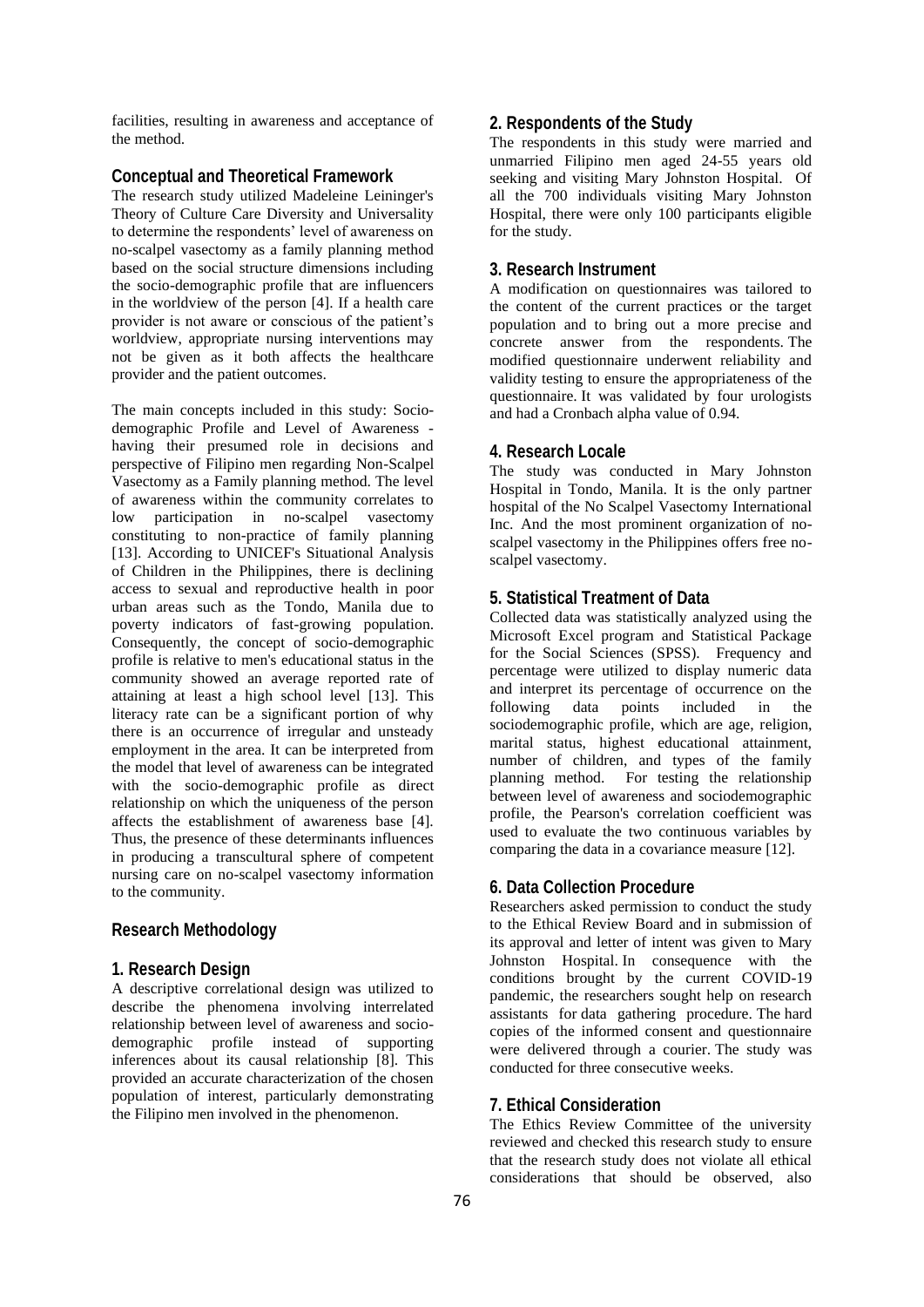facilities, resulting in awareness and acceptance of the method.

#### **Conceptual and Theoretical Framework**

The research study utilized Madeleine Leininger's Theory of Culture Care Diversity and Universality to determine the respondents' level of awareness on no-scalpel vasectomy as a family planning method based on the social structure dimensions including the socio-demographic profile that are influencers in the worldview of the person [4]. If a health care provider is not aware or conscious of the patient's worldview, appropriate nursing interventions may not be given as it both affects the healthcare provider and the patient outcomes.

The main concepts included in this study: Sociodemographic Profile and Level of Awareness having their presumed role in decisions and perspective of Filipino men regarding Non-Scalpel Vasectomy as a Family planning method. The level of awareness within the community correlates to low participation in no-scalpel vasectomy constituting to non-practice of family planning [13]. According to UNICEF's Situational Analysis of Children in the Philippines, there is declining access to sexual and reproductive health in poor urban areas such as the Tondo, Manila due to poverty indicators of fast-growing population. Consequently, the concept of socio-demographic profile is relative to men's educational status in the community showed an average reported rate of attaining at least a high school level [13]. This literacy rate can be a significant portion of why there is an occurrence of irregular and unsteady employment in the area. It can be interpreted from the model that level of awareness can be integrated with the socio-demographic profile as direct relationship on which the uniqueness of the person affects the establishment of awareness base [4]. Thus, the presence of these determinants influences in producing a transcultural sphere of competent nursing care on no-scalpel vasectomy information to the community.

### **Research Methodology**

#### **1. Research Design**

A descriptive correlational design was utilized to describe the phenomena involving interrelated relationship between level of awareness and sociodemographic profile instead of supporting inferences about its causal relationship [8]. This provided an accurate characterization of the chosen population of interest, particularly demonstrating the Filipino men involved in the phenomenon.

# **2. Respondents of the Study**

The respondents in this study were married and unmarried Filipino men aged 24-55 years old seeking and visiting Mary Johnston Hospital. Of all the 700 individuals visiting Mary Johnston Hospital, there were only 100 participants eligible for the study.

#### **3. Research Instrument**

A modification on questionnaires was tailored to the content of the current practices or the target population and to bring out a more precise and concrete answer from the respondents. The modified questionnaire underwent reliability and validity testing to ensure the appropriateness of the questionnaire. It was validated by four urologists and had a Cronbach alpha value of 0.94.

### **4. Research Locale**

The study was conducted in Mary Johnston Hospital in Tondo, Manila. It is the only partner hospital of the No Scalpel Vasectomy International Inc. And the most prominent organization of noscalpel vasectomy in the Philippines offers free noscalpel vasectomy.

# **5. Statistical Treatment of Data**

Collected data was statistically analyzed using the Microsoft Excel program and Statistical Package for the Social Sciences (SPSS). Frequency and percentage were utilized to display numeric data and interpret its percentage of occurrence on the following data points included in the sociodemographic profile, which are age, religion, marital status, highest educational attainment, number of children, and types of the family planning method. For testing the relationship between level of awareness and sociodemographic profile, the Pearson's correlation coefficient was used to evaluate the two continuous variables by comparing the data in a covariance measure [12].

#### **6. Data Collection Procedure**

Researchers asked permission to conduct the study to the Ethical Review Board and in submission of its approval and letter of intent was given to Mary Johnston Hospital. In consequence with the conditions brought by the current COVID-19 pandemic, the researchers sought help on research assistants for data gathering procedure. The hard copies of the informed consent and questionnaire were delivered through a courier. The study was conducted for three consecutive weeks.

#### **7. Ethical Consideration**

The Ethics Review Committee of the university reviewed and checked this research study to ensure that the research study does not violate all ethical considerations that should be observed, also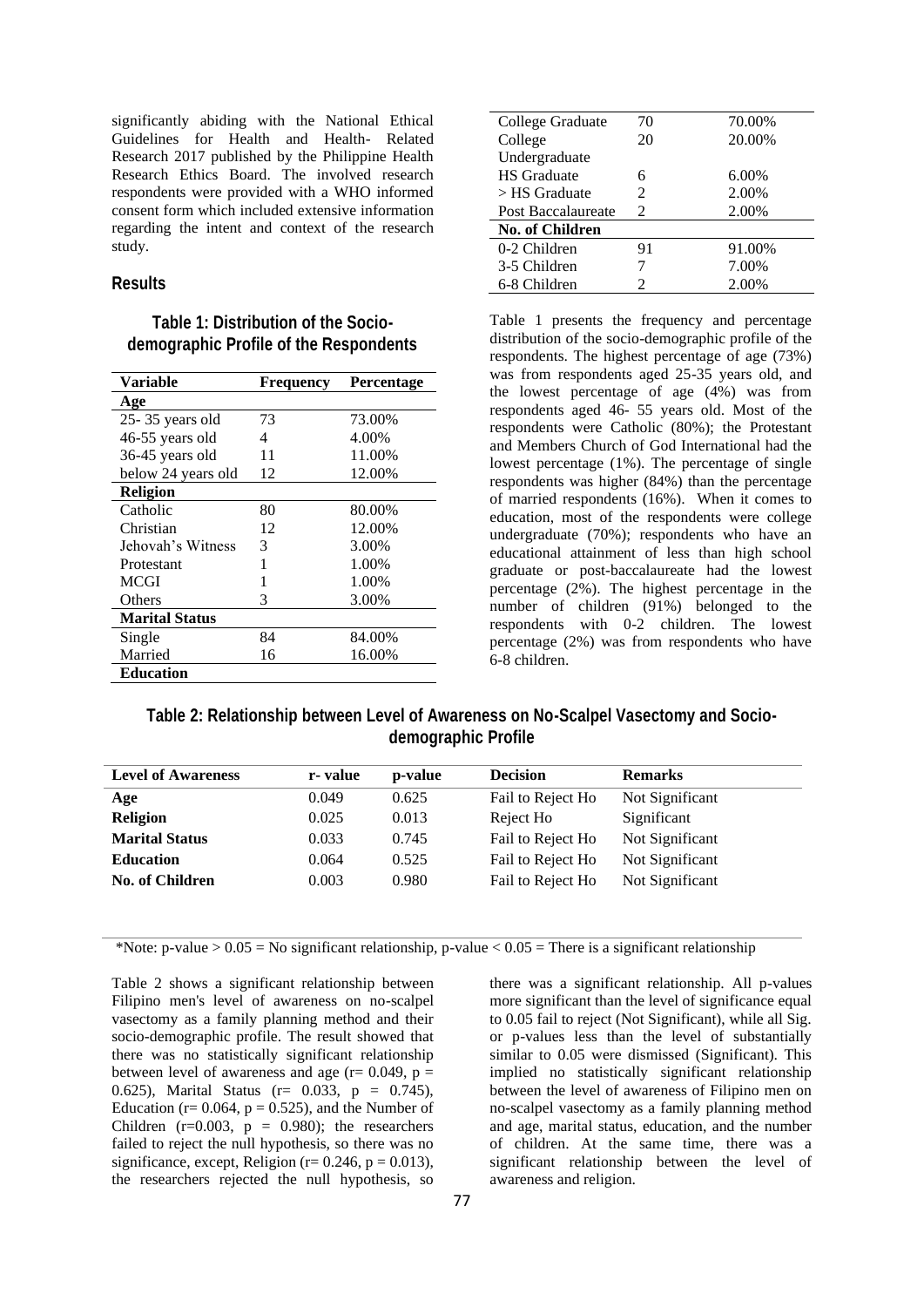significantly abiding with the National Ethical Guidelines for Health and Health- Related Research 2017 published by the Philippine Health Research Ethics Board. The involved research respondents were provided with a WHO informed consent form which included extensive information regarding the intent and context of the research study.

#### **Results**

# **Table 1: Distribution of the Sociodemographic Profile of the Respondents**

| <b>Frequency</b> | Percentage |
|------------------|------------|
|                  |            |
| 73               | 73.00%     |
| 4                | 4.00%      |
| 11               | 11.00%     |
| 12               | 12.00%     |
|                  |            |
| 80               | 80.00%     |
| 12               | 12.00%     |
| 3                | 3.00%      |
| 1                | 1.00%      |
| 1                | 1.00%      |
| 3                | 3.00%      |
|                  |            |
| 84               | 84.00%     |
| 16               | 16.00%     |
|                  |            |
|                  |            |

| College Graduate       | 70                          | 70.00% |
|------------------------|-----------------------------|--------|
| College                | 20                          | 20.00% |
| Undergraduate          |                             |        |
| <b>HS</b> Graduate     | 6                           | 6.00%  |
| $>$ HS Graduate        | $\mathcal{D}_{\mathcal{L}}$ | 2.00%  |
| Post Baccalaureate     | 2                           | 2.00%  |
| <b>No. of Children</b> |                             |        |
| 0-2 Children           | 91                          | 91.00% |
| 3-5 Children           |                             | 7.00%  |
| 6-8 Children           | 2                           | 2.00%  |

Table 1 presents the frequency and percentage distribution of the socio-demographic profile of the respondents. The highest percentage of age (73%) was from respondents aged 25-35 years old, and the lowest percentage of age (4%) was from respondents aged 46- 55 years old. Most of the respondents were Catholic (80%); the Protestant and Members Church of God International had the lowest percentage (1%). The percentage of single respondents was higher (84%) than the percentage of married respondents (16%). When it comes to education, most of the respondents were college undergraduate (70%); respondents who have an educational attainment of less than high school graduate or post-baccalaureate had the lowest percentage (2%). The highest percentage in the number of children (91%) belonged to the respondents with 0-2 children. The lowest percentage (2%) was from respondents who have 6-8 children.

# **Table 2: Relationship between Level of Awareness on No-Scalpel Vasectomy and Sociodemographic Profile**

| <b>Level of Awareness</b> | r- value | p-value | <b>Decision</b>   | <b>Remarks</b>  |
|---------------------------|----------|---------|-------------------|-----------------|
| Age                       | 0.049    | 0.625   | Fail to Reject Ho | Not Significant |
| <b>Religion</b>           | 0.025    | 0.013   | Reject Ho         | Significant     |
| <b>Marital Status</b>     | 0.033    | 0.745   | Fail to Reject Ho | Not Significant |
| <b>Education</b>          | 0.064    | 0.525   | Fail to Reject Ho | Not Significant |
| <b>No. of Children</b>    | 0.003    | 0.980   | Fail to Reject Ho | Not Significant |
|                           |          |         |                   |                 |

\*Note: p-value >  $0.05$  = No significant relationship, p-value <  $0.05$  = There is a significant relationship

Table 2 shows a significant relationship between Filipino men's level of awareness on no-scalpel vasectomy as a family planning method and their socio-demographic profile. The result showed that there was no statistically significant relationship between level of awareness and age ( $r = 0.049$ ,  $p =$ 0.625), Marital Status ( $r = 0.033$ ,  $p = 0.745$ ), Education ( $r= 0.064$ ,  $p = 0.525$ ), and the Number of Children ( $r=0.003$ ,  $p = 0.980$ ); the researchers failed to reject the null hypothesis, so there was no significance, except, Religion ( $r= 0.246$ ,  $p = 0.013$ ), the researchers rejected the null hypothesis, so

there was a significant relationship. All p-values more significant than the level of significance equal to 0.05 fail to reject (Not Significant), while all Sig. or p-values less than the level of substantially similar to 0.05 were dismissed (Significant). This implied no statistically significant relationship between the level of awareness of Filipino men on no-scalpel vasectomy as a family planning method and age, marital status, education, and the number of children. At the same time, there was a significant relationship between the level of awareness and religion.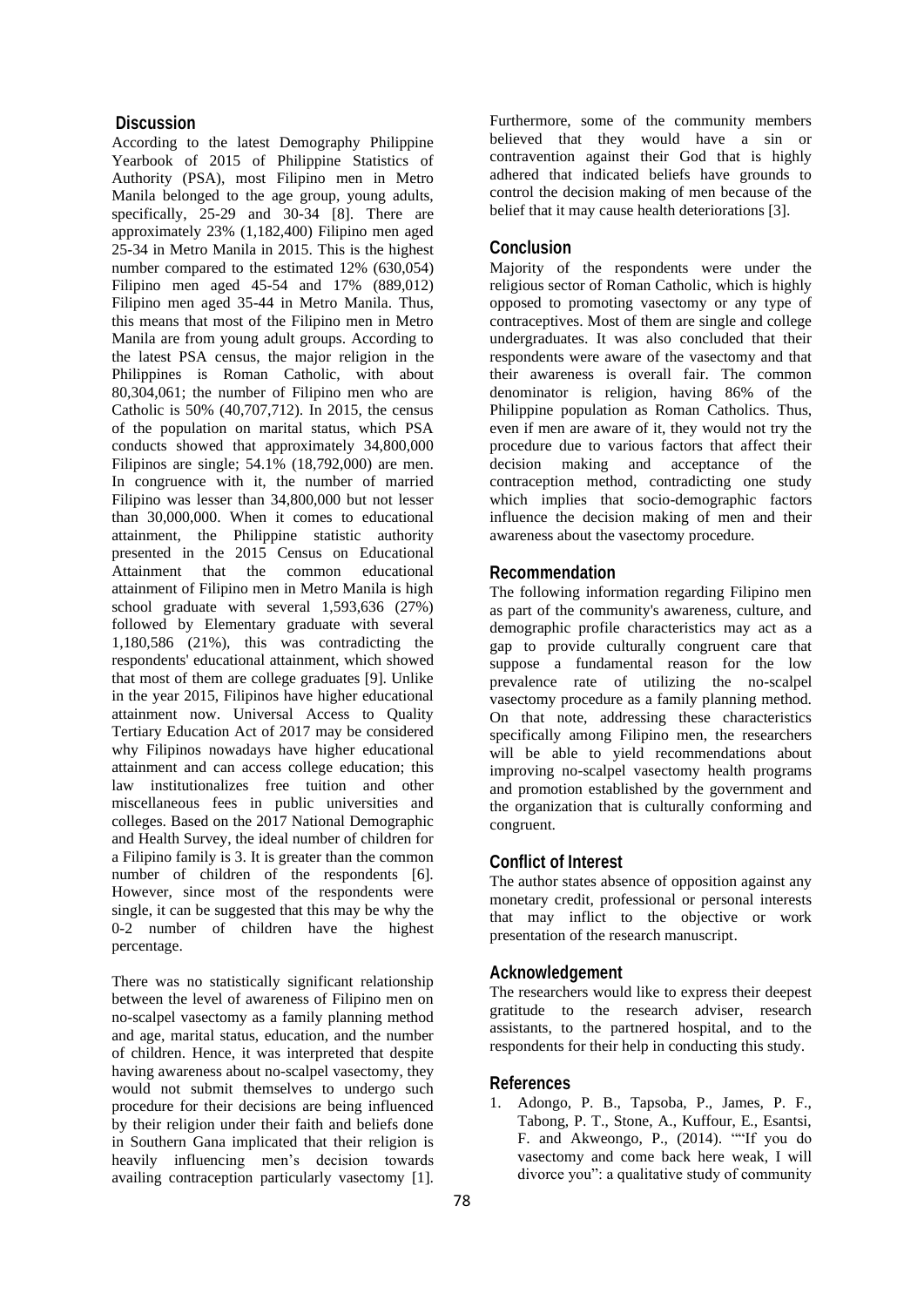# **Discussion**

According to the latest Demography Philippine Yearbook of 2015 of Philippine Statistics of Authority (PSA), most Filipino men in Metro Manila belonged to the age group, young adults, specifically, 25-29 and 30-34 [8]. There are approximately 23% (1,182,400) Filipino men aged 25-34 in Metro Manila in 2015. This is the highest number compared to the estimated 12% (630,054) Filipino men aged 45-54 and 17% (889,012) Filipino men aged 35-44 in Metro Manila. Thus, this means that most of the Filipino men in Metro Manila are from young adult groups. According to the latest PSA census, the major religion in the Philippines is Roman Catholic, with about 80,304,061; the number of Filipino men who are Catholic is 50% (40,707,712). In 2015, the census of the population on marital status, which PSA conducts showed that approximately 34,800,000 Filipinos are single; 54.1% (18,792,000) are men. In congruence with it, the number of married Filipino was lesser than 34,800,000 but not lesser than 30,000,000. When it comes to educational attainment, the Philippine statistic authority presented in the 2015 Census on Educational Attainment that the common educational attainment of Filipino men in Metro Manila is high school graduate with several 1,593,636 (27%) followed by Elementary graduate with several 1,180,586 (21%), this was contradicting the respondents' educational attainment, which showed that most of them are college graduates [9]. Unlike in the year 2015, Filipinos have higher educational attainment now. Universal Access to Quality Tertiary Education Act of 2017 may be considered why Filipinos nowadays have higher educational attainment and can access college education; this law institutionalizes free tuition and other miscellaneous fees in public universities and colleges. Based on the 2017 National Demographic and Health Survey, the ideal number of children for a Filipino family is 3. It is greater than the common number of children of the respondents [6]. However, since most of the respondents were single, it can be suggested that this may be why the 0-2 number of children have the highest percentage.

There was no statistically significant relationship between the level of awareness of Filipino men on no-scalpel vasectomy as a family planning method and age, marital status, education, and the number of children. Hence, it was interpreted that despite having awareness about no-scalpel vasectomy, they would not submit themselves to undergo such procedure for their decisions are being influenced by their religion under their faith and beliefs done in Southern Gana implicated that their religion is heavily influencing men's decision towards availing contraception particularly vasectomy [1].

Furthermore, some of the community members believed that they would have a sin or contravention against their God that is highly adhered that indicated beliefs have grounds to control the decision making of men because of the belief that it may cause health deteriorations [3].

# **Conclusion**

Majority of the respondents were under the religious sector of Roman Catholic, which is highly opposed to promoting vasectomy or any type of contraceptives. Most of them are single and college undergraduates. It was also concluded that their respondents were aware of the vasectomy and that their awareness is overall fair. The common denominator is religion, having 86% of the Philippine population as Roman Catholics. Thus, even if men are aware of it, they would not try the procedure due to various factors that affect their decision making and acceptance of the contraception method, contradicting one study which implies that socio-demographic factors influence the decision making of men and their awareness about the vasectomy procedure.

#### **Recommendation**

The following information regarding Filipino men as part of the community's awareness, culture, and demographic profile characteristics may act as a gap to provide culturally congruent care that suppose a fundamental reason for the low prevalence rate of utilizing the no-scalpel vasectomy procedure as a family planning method. On that note, addressing these characteristics specifically among Filipino men, the researchers will be able to yield recommendations about improving no-scalpel vasectomy health programs and promotion established by the government and the organization that is culturally conforming and congruent.

# **Conflict of Interest**

The author states absence of opposition against any monetary credit, professional or personal interests that may inflict to the objective or work presentation of the research manuscript.

#### **Acknowledgement**

The researchers would like to express their deepest gratitude to the research adviser, research assistants, to the partnered hospital, and to the respondents for their help in conducting this study.

#### **References**

1. Adongo, P. B., Tapsoba, P., James, P. F., Tabong, P. T., Stone, A., Kuffour, E., Esantsi, F. and Akweongo, P., (2014). ""If you do vasectomy and come back here weak, I will divorce you": a qualitative study of community